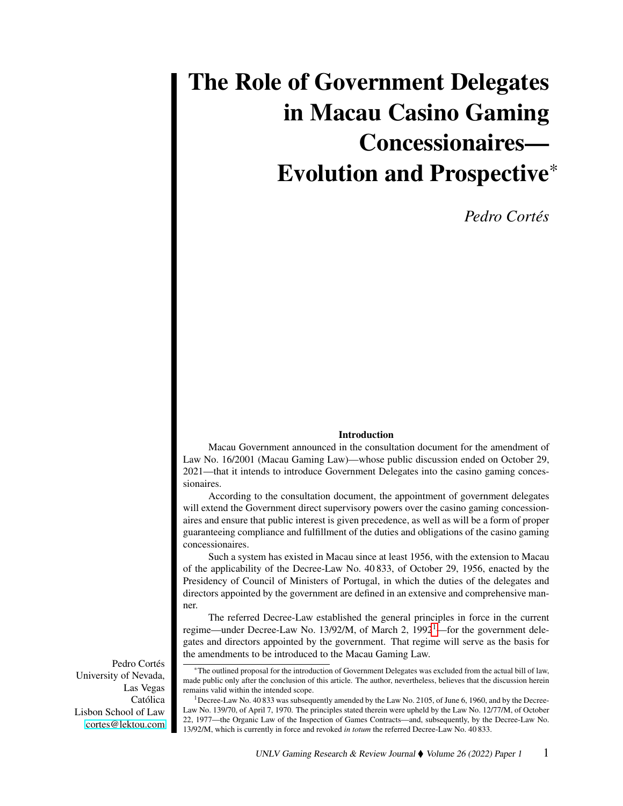# The Role of Government Delegates in Macau Casino Gaming Concessionaires— Evolution and Prospective\*

*Pedro Cortés*

#### Introduction

Macau Government announced in the consultation document for the amendment of Law No. 16/2001 (Macau Gaming Law)—whose public discussion ended on October 29, 2021—that it intends to introduce Government Delegates into the casino gaming concessionaires.

According to the consultation document, the appointment of government delegates will extend the Government direct supervisory powers over the casino gaming concessionaires and ensure that public interest is given precedence, as well as will be a form of proper guaranteeing compliance and fulfillment of the duties and obligations of the casino gaming concessionaires.

Such a system has existed in Macau since at least 1956, with the extension to Macau of the applicability of the Decree-Law No. 40 833, of October 29, 1956, enacted by the Presidency of Council of Ministers of Portugal, in which the duties of the delegates and directors appointed by the government are defined in an extensive and comprehensive manner.

The referred Decree-Law established the general principles in force in the current regime—under Decree-Law No. [1](#page-0-0)3/92/M, of March 2, 1992<sup>1</sup>—for the government delegates and directors appointed by the government. That regime will serve as the basis for the amendments to be introduced to the Macau Gaming Law.

Pedro Cortés University of Nevada, Las Vegas Católica Lisbon School of Law [cortes@lektou.com](mailto:cortes@lektou.com)

<sup>\*</sup>The outlined proposal for the introduction of Government Delegates was excluded from the actual bill of law, made public only after the conclusion of this article. The author, nevertheless, believes that the discussion herein remains valid within the intended scope.

<span id="page-0-0"></span> $1$ Decree-Law No. 40 833 was subsequently amended by the Law No. 2105, of June 6, 1960, and by the Decree-Law No. 139/70, of April 7, 1970. The principles stated therein were upheld by the Law No. 12/77/M, of October 22, 1977—the Organic Law of the Inspection of Games Contracts—and, subsequently, by the Decree-Law No. 13/92/M, which is currently in force and revoked *in totum* the referred Decree-Law No. 40 833.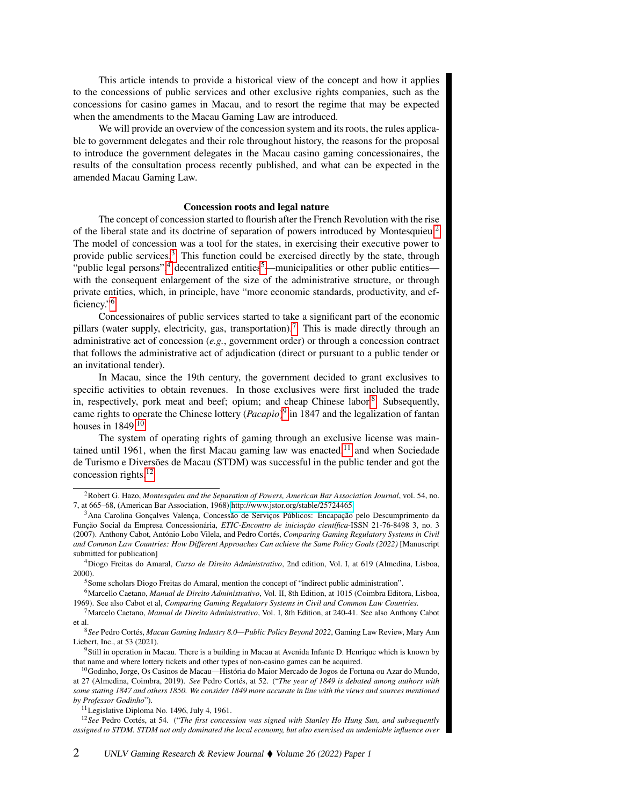This article intends to provide a historical view of the concept and how it applies to the concessions of public services and other exclusive rights companies, such as the concessions for casino games in Macau, and to resort the regime that may be expected when the amendments to the Macau Gaming Law are introduced.

We will provide an overview of the concession system and its roots, the rules applicable to government delegates and their role throughout history, the reasons for the proposal to introduce the government delegates in the Macau casino gaming concessionaires, the results of the consultation process recently published, and what can be expected in the amended Macau Gaming Law.

#### Concession roots and legal nature

The concept of concession started to flourish after the French Revolution with the rise of the liberal state and its doctrine of separation of powers introduced by Montesquieu.[2](#page-1-0) The model of concession was a tool for the states, in exercising their executive power to provide public services. $3$  This function could be exercised directly by the state, through "public legal persons",<sup>[4](#page-1-2)</sup> decentralized entities<sup>[5](#page-1-3)</sup>—municipalities or other public entities with the consequent enlargement of the size of the administrative structure, or through private entities, which, in principle, have "more economic standards, productivity, and ef-ficiency."<sup>[6](#page-1-4)</sup>

Concessionaires of public services started to take a significant part of the economic pillars (water supply, electricity, gas, transportation).<sup>[7](#page-1-5)</sup> This is made directly through an administrative act of concession (*e.g.*, government order) or through a concession contract that follows the administrative act of adjudication (direct or pursuant to a public tender or an invitational tender).

In Macau, since the 19th century, the government decided to grant exclusives to specific activities to obtain revenues. In those exclusives were first included the trade in, respectively, pork meat and beef; opium; and cheap Chinese labor.<sup>[8](#page-1-6)</sup> Subsequently, came rights to operate the Chinese lottery (*Pacapio*) [9](#page-1-7) in 1847 and the legalization of fantan houses in  $1849$ .<sup>[10](#page-1-8)</sup>

The system of operating rights of gaming through an exclusive license was main-tained until 1961, when the first Macau gaming law was enacted,<sup>[11](#page-1-9)</sup> and when Sociedade de Turismo e Diversões de Macau (STDM) was successful in the public tender and got the concession rights.[12](#page-1-10)

<span id="page-1-0"></span><sup>2</sup>Robert G. Hazo, *Montesquieu and the Separation of Powers, American Bar Association Journal*, vol. 54, no. 7, at 665–68, (American Bar Association, 1968) [http://www.jstor.org/stable/25724465.](http://www.jstor.org/stable/25724465)

<span id="page-1-1"></span><sup>3</sup>Ana Carolina Gonçalves Valença, Concessão de Serviços Públicos: Encapação pelo Descumprimento da Função Social da Empresa Concessionária, *ETIC-Encontro de iniciação científica*-ISSN 21-76-8498 3, no. 3 (2007). Anthony Cabot, António Lobo Vilela, and Pedro Cortés, *Comparing Gaming Regulatory Systems in Civil and Common Law Countries: How Different Approaches Can achieve the Same Policy Goals (2022)* [Manuscript submitted for publication]

<span id="page-1-2"></span><sup>4</sup>Diogo Freitas do Amaral, *Curso de Direito Administrativo*, 2nd edition, Vol. I, at 619 (Almedina, Lisboa, 2000).

<span id="page-1-4"></span><span id="page-1-3"></span><sup>5</sup>Some scholars Diogo Freitas do Amaral, mention the concept of "indirect public administration".

<sup>6</sup>Marcello Caetano, *Manual de Direito Administrativo*, Vol. II, 8th Edition, at 1015 (Coimbra Editora, Lisboa, 1969). See also Cabot et al, *Comparing Gaming Regulatory Systems in Civil and Common Law Countries.*

<span id="page-1-5"></span><sup>7</sup>Marcelo Caetano, *Manual de Direito Administrativo*, Vol. I, 8th Edition, at 240-41. See also Anthony Cabot et al.

<span id="page-1-6"></span><sup>8</sup>*See* Pedro Cortés, *Macau Gaming Industry 8.0—Public Policy Beyond 2022*, Gaming Law Review, Mary Ann Liebert, Inc., at 53 (2021).

<span id="page-1-7"></span><sup>9</sup>Still in operation in Macau. There is a building in Macau at Avenida Infante D. Henrique which is known by that name and where lottery tickets and other types of non-casino games can be acquired.

<span id="page-1-8"></span><sup>&</sup>lt;sup>10</sup>Godinho, Jorge, Os Casinos de Macau—História do Maior Mercado de Jogos de Fortuna ou Azar do Mundo, at 27 (Almedina, Coimbra, 2019). *See* Pedro Cortés, at 52. ("*The year of 1849 is debated among authors with some stating 1847 and others 1850. We consider 1849 more accurate in line with the views and sources mentioned by Professor Godinho*").

<span id="page-1-10"></span><span id="page-1-9"></span><sup>&</sup>lt;sup>11</sup>Legislative Diploma No. 1496, July 4, 1961.

<sup>12</sup>*See* Pedro Cortés, at 54. ("*The first concession was signed with Stanley Ho Hung Sun, and subsequently assigned to STDM. STDM not only dominated the local economy, but also exercised an undeniable influence over*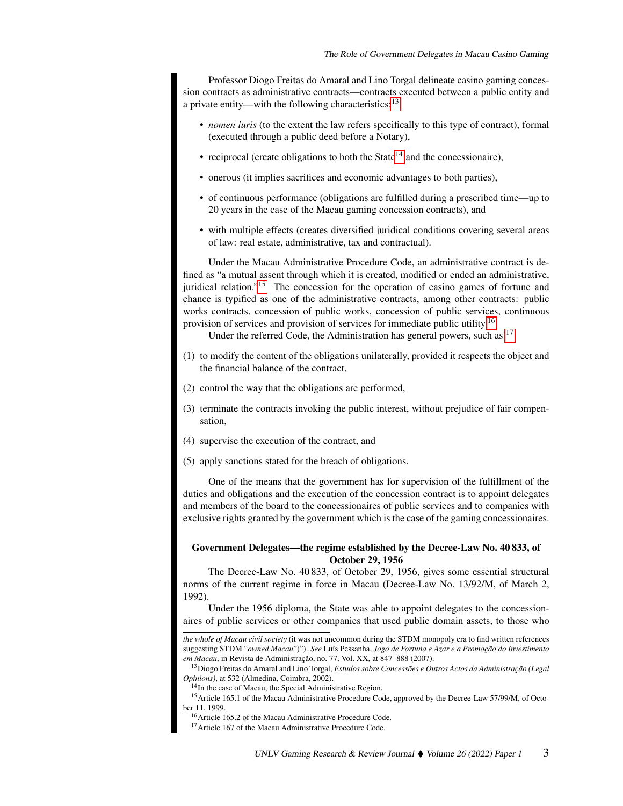Professor Diogo Freitas do Amaral and Lino Torgal delineate casino gaming concession contracts as administrative contracts—contracts executed between a public entity and a private entity—with the following characteristics:<sup>[13](#page-2-0)</sup>

- *nomen iuris* (to the extent the law refers specifically to this type of contract), formal (executed through a public deed before a Notary),
- reciprocal (create obligations to both the State<sup>[14](#page-2-1)</sup> and the concessionaire),
- onerous (it implies sacrifices and economic advantages to both parties),
- of continuous performance (obligations are fulfilled during a prescribed time—up to 20 years in the case of the Macau gaming concession contracts), and
- with multiple effects (creates diversified juridical conditions covering several areas of law: real estate, administrative, tax and contractual).

Under the Macau Administrative Procedure Code, an administrative contract is defined as "a mutual assent through which it is created, modified or ended an administrative, juridical relation."<sup>[15](#page-2-2)</sup> The concession for the operation of casino games of fortune and chance is typified as one of the administrative contracts, among other contracts: public works contracts, concession of public works, concession of public services, continuous provision of services and provision of services for immediate public utility.<sup>[16](#page-2-3)</sup>

Under the referred Code, the Administration has general powers, such as:<sup>[17](#page-2-4)</sup>

- (1) to modify the content of the obligations unilaterally, provided it respects the object and the financial balance of the contract,
- (2) control the way that the obligations are performed,
- (3) terminate the contracts invoking the public interest, without prejudice of fair compensation,
- (4) supervise the execution of the contract, and
- (5) apply sanctions stated for the breach of obligations.

One of the means that the government has for supervision of the fulfillment of the duties and obligations and the execution of the concession contract is to appoint delegates and members of the board to the concessionaires of public services and to companies with exclusive rights granted by the government which is the case of the gaming concessionaires.

## Government Delegates—the regime established by the Decree-Law No. 40 833, of October 29, 1956

The Decree-Law No. 40 833, of October 29, 1956, gives some essential structural norms of the current regime in force in Macau (Decree-Law No. 13/92/M, of March 2, 1992).

Under the 1956 diploma, the State was able to appoint delegates to the concessionaires of public services or other companies that used public domain assets, to those who

*the whole of Macau civil society* (it was not uncommon during the STDM monopoly era to find written references suggesting STDM "*owned Macau*")"). *See* Luís Pessanha, *Jogo de Fortuna e Azar e a Promoção do Investimento em Macau*, in Revista de Administração, no. 77, Vol. XX, at 847–888 (2007).

<span id="page-2-0"></span><sup>13</sup>Diogo Freitas do Amaral and Lino Torgal, *Estudos sobre Concessões e Outros Actos da Administração (Legal Opinions)*, at 532 (Almedina, Coimbra, 2002).

<span id="page-2-2"></span><span id="page-2-1"></span><sup>&</sup>lt;sup>14</sup>In the case of Macau, the Special Administrative Region.

<sup>&</sup>lt;sup>15</sup> Article 165.1 of the Macau Administrative Procedure Code, approved by the Decree-Law 57/99/M, of October 11, 1999.

<span id="page-2-3"></span><sup>16</sup>Article 165.2 of the Macau Administrative Procedure Code.

<span id="page-2-4"></span><sup>&</sup>lt;sup>17</sup> Article 167 of the Macau Administrative Procedure Code.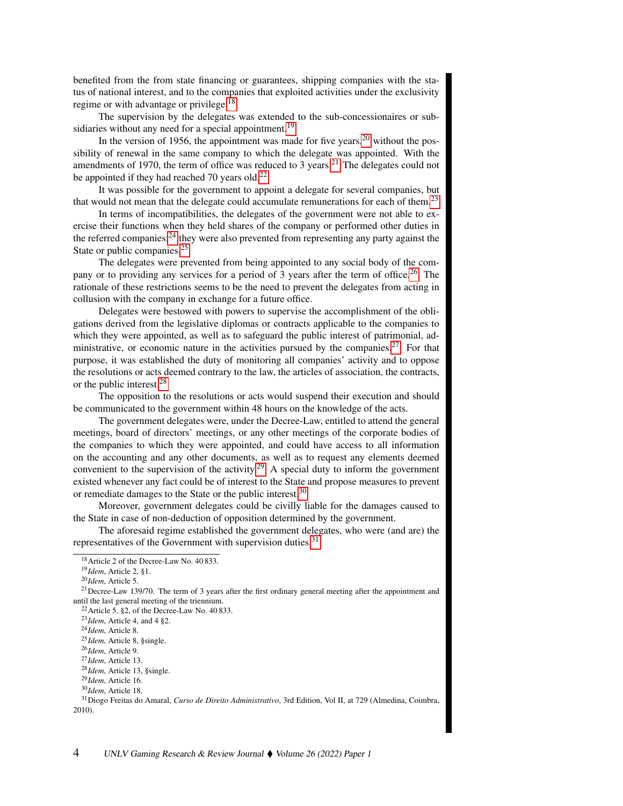benefited from the from state financing or guarantees, shipping companies with the status of national interest, and to the companies that exploited activities under the exclusivity regime or with advantage or privilege.<sup>[18](#page-3-0)</sup>

The supervision by the delegates was extended to the sub-concessionaires or sub-sidiaries without any need for a special appointment.<sup>[19](#page-3-1)</sup>

In the version of 1956, the appointment was made for five years,  $20$  without the possibility of renewal in the same company to which the delegate was appointed. With the amendments of 1970, the term of office was reduced to 3 years.<sup>[21](#page-3-3)</sup> The delegates could not be appointed if they had reached 70 years old.<sup>[22](#page-3-4)</sup>

It was possible for the government to appoint a delegate for several companies, but that would not mean that the delegate could accumulate remunerations for each of them. $2<sup>3</sup>$ 

In terms of incompatibilities, the delegates of the government were not able to exercise their functions when they held shares of the company or performed other duties in the referred companies; $^{24}$  $^{24}$  $^{24}$  they were also prevented from representing any party against the State or public companies.<sup>[25](#page-3-7)</sup>

The delegates were prevented from being appointed to any social body of the com-pany or to providing any services for a period of 3 years after the term of office.<sup>[26](#page-3-8)</sup> The rationale of these restrictions seems to be the need to prevent the delegates from acting in collusion with the company in exchange for a future office.

Delegates were bestowed with powers to supervise the accomplishment of the obligations derived from the legislative diplomas or contracts applicable to the companies to which they were appointed, as well as to safeguard the public interest of patrimonial, ad-ministrative, or economic nature in the activities pursued by the companies.<sup>[27](#page-3-9)</sup> For that purpose, it was established the duty of monitoring all companies' activity and to oppose the resolutions or acts deemed contrary to the law, the articles of association, the contracts, or the public interest.[28](#page-3-10)

The opposition to the resolutions or acts would suspend their execution and should be communicated to the government within 48 hours on the knowledge of the acts.

The government delegates were, under the Decree-Law, entitled to attend the general meetings, board of directors' meetings, or any other meetings of the corporate bodies of the companies to which they were appointed, and could have access to all information on the accounting and any other documents, as well as to request any elements deemed convenient to the supervision of the activity.<sup>[29](#page-3-11)</sup> A special duty to inform the government existed whenever any fact could be of interest to the State and propose measures to prevent or remediate damages to the State or the public interest.<sup>[30](#page-3-12)</sup>

Moreover, government delegates could be civilly liable for the damages caused to the State in case of non-deduction of opposition determined by the government.

The aforesaid regime established the government delegates, who were (and are) the representatives of the Government with supervision duties. $31$ 

<span id="page-3-0"></span><sup>&</sup>lt;sup>18</sup> Article 2 of the Decree-Law No. 40 833.

<span id="page-3-1"></span><sup>19</sup>*Idem*, Article 2, §1.

<span id="page-3-3"></span><span id="page-3-2"></span><sup>20</sup>*Idem*, Article 5.

<sup>&</sup>lt;sup>21</sup>Decree-Law 139/70. The term of 3 years after the first ordinary general meeting after the appointment and until the last general meeting of the triennium.

<span id="page-3-4"></span> $22$  Article 5, §2, of the Decree-Law No. 40 833.

<span id="page-3-5"></span><sup>23</sup>*Idem*, Article 4, and 4 §2.

<span id="page-3-6"></span><sup>24</sup>*Idem*, Article 8.

<span id="page-3-7"></span><sup>25</sup>*Idem*, Article 8, §single.

<span id="page-3-8"></span><sup>26</sup>*Idem*, Article 9.

<span id="page-3-9"></span><sup>27</sup>*Idem*, Article 13.

<span id="page-3-10"></span><sup>28</sup>*Idem*, Article 13, §single.

<span id="page-3-11"></span><sup>29</sup>*Idem*, Article 16.

<span id="page-3-13"></span><span id="page-3-12"></span><sup>30</sup>*Idem*, Article 18.

<sup>31</sup>Diogo Freitas do Amaral, *Curso de Direito Administrativo*, 3rd Edition, Vol II, at 729 (Almedina, Coimbra, 2010).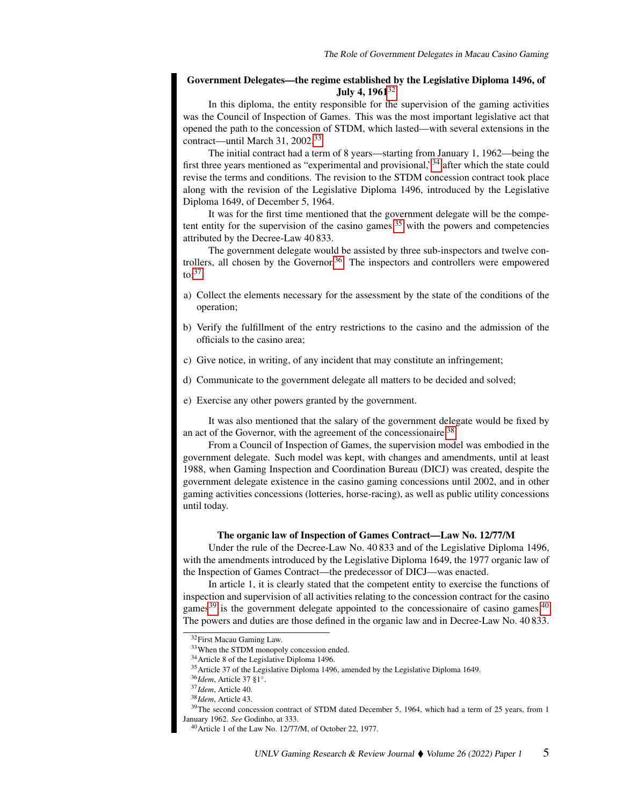## Government Delegates—the regime established by the Legislative Diploma 1496, of July 4,  $1961^{32}$  $1961^{32}$  $1961^{32}$

In this diploma, the entity responsible for the supervision of the gaming activities was the Council of Inspection of Games. This was the most important legislative act that opened the path to the concession of STDM, which lasted—with several extensions in the contract—until March 31, 2002.[33](#page-4-1)

The initial contract had a term of 8 years—starting from January 1, 1962—being the first three years mentioned as "experimental and provisional,"[34](#page-4-2) after which the state could revise the terms and conditions. The revision to the STDM concession contract took place along with the revision of the Legislative Diploma 1496, introduced by the Legislative Diploma 1649, of December 5, 1964.

It was for the first time mentioned that the government delegate will be the competent entity for the supervision of the casino games, $35$  with the powers and competencies attributed by the Decree-Law 40 833.

The government delegate would be assisted by three sub-inspectors and twelve con-trollers, all chosen by the Governor.<sup>[36](#page-4-4)</sup> The inspectors and controllers were empowered  $\mathrm{to}$ :<sup>[37](#page-4-5)</sup>

- a) Collect the elements necessary for the assessment by the state of the conditions of the operation;
- b) Verify the fulfillment of the entry restrictions to the casino and the admission of the officials to the casino area;
- c) Give notice, in writing, of any incident that may constitute an infringement;
- d) Communicate to the government delegate all matters to be decided and solved;
- e) Exercise any other powers granted by the government.

It was also mentioned that the salary of the government delegate would be fixed by an act of the Governor, with the agreement of the concessionaire.<sup>[38](#page-4-6)</sup>

From a Council of Inspection of Games, the supervision model was embodied in the government delegate. Such model was kept, with changes and amendments, until at least 1988, when Gaming Inspection and Coordination Bureau (DICJ) was created, despite the government delegate existence in the casino gaming concessions until 2002, and in other gaming activities concessions (lotteries, horse-racing), as well as public utility concessions until today.

#### The organic law of Inspection of Games Contract—Law No. 12/77/M

Under the rule of the Decree-Law No. 40 833 and of the Legislative Diploma 1496, with the amendments introduced by the Legislative Diploma 1649, the 1977 organic law of the Inspection of Games Contract—the predecessor of DICJ—was enacted.

In article 1, it is clearly stated that the competent entity to exercise the functions of inspection and supervision of all activities relating to the concession contract for the casino games $^{39}$  $^{39}$  $^{39}$  is the government delegate appointed to the concessionaire of casino games. $^{40}$  $^{40}$  $^{40}$ The powers and duties are those defined in the organic law and in Decree-Law No. 40 833.

<span id="page-4-0"></span><sup>32</sup>First Macau Gaming Law.

<span id="page-4-1"></span><sup>33</sup>When the STDM monopoly concession ended.

<span id="page-4-2"></span><sup>34</sup>Article 8 of the Legislative Diploma 1496.

<span id="page-4-3"></span><sup>&</sup>lt;sup>35</sup> Article 37 of the Legislative Diploma 1496, amended by the Legislative Diploma 1649.

<span id="page-4-4"></span><sup>36</sup>*Idem*, Article 37 §1◦ .

<span id="page-4-5"></span><sup>37</sup>*Idem*, Article 40.

<span id="page-4-7"></span><span id="page-4-6"></span><sup>38</sup>*Idem*, Article 43.

<sup>&</sup>lt;sup>39</sup>The second concession contract of STDM dated December 5, 1964, which had a term of 25 years, from 1 January 1962. *See* Godinho, at 333.

<span id="page-4-8"></span><sup>40</sup>Article 1 of the Law No. 12/77/M, of October 22, 1977.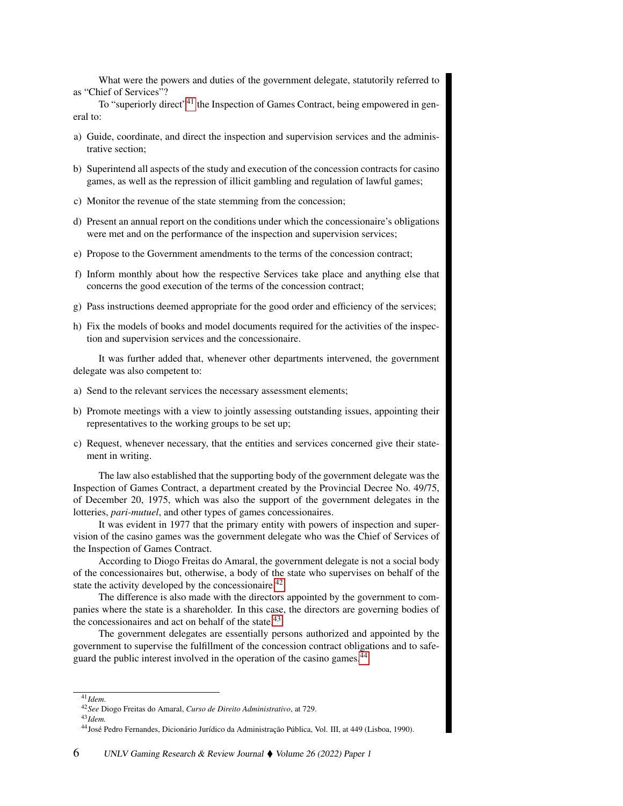What were the powers and duties of the government delegate, statutorily referred to as "Chief of Services"?

To "superiorly direct"<sup>[41](#page-5-0)</sup> the Inspection of Games Contract, being empowered in general to:

- a) Guide, coordinate, and direct the inspection and supervision services and the administrative section;
- b) Superintend all aspects of the study and execution of the concession contracts for casino games, as well as the repression of illicit gambling and regulation of lawful games;
- c) Monitor the revenue of the state stemming from the concession;
- d) Present an annual report on the conditions under which the concessionaire's obligations were met and on the performance of the inspection and supervision services;
- e) Propose to the Government amendments to the terms of the concession contract;
- f) Inform monthly about how the respective Services take place and anything else that concerns the good execution of the terms of the concession contract;
- g) Pass instructions deemed appropriate for the good order and efficiency of the services;
- h) Fix the models of books and model documents required for the activities of the inspection and supervision services and the concessionaire.

It was further added that, whenever other departments intervened, the government delegate was also competent to:

- a) Send to the relevant services the necessary assessment elements;
- b) Promote meetings with a view to jointly assessing outstanding issues, appointing their representatives to the working groups to be set up;
- c) Request, whenever necessary, that the entities and services concerned give their statement in writing.

The law also established that the supporting body of the government delegate was the Inspection of Games Contract, a department created by the Provincial Decree No. 49/75, of December 20, 1975, which was also the support of the government delegates in the lotteries, *pari-mutuel*, and other types of games concessionaires.

It was evident in 1977 that the primary entity with powers of inspection and supervision of the casino games was the government delegate who was the Chief of Services of the Inspection of Games Contract.

According to Diogo Freitas do Amaral, the government delegate is not a social body of the concessionaires but, otherwise, a body of the state who supervises on behalf of the state the activity developed by the concessionaire.<sup>[42](#page-5-1)</sup>

The difference is also made with the directors appointed by the government to companies where the state is a shareholder. In this case, the directors are governing bodies of the concessionaires and act on behalf of the state. $43$ 

The government delegates are essentially persons authorized and appointed by the government to supervise the fulfillment of the concession contract obligations and to safe-guard the public interest involved in the operation of the casino games.<sup>[44](#page-5-3)</sup>

<span id="page-5-0"></span><sup>41</sup>*Idem*.

<span id="page-5-1"></span><sup>42</sup>*See* Diogo Freitas do Amaral, *Curso de Direito Administrativo*, at 729.

<span id="page-5-2"></span><sup>43</sup>*Idem.*

<span id="page-5-3"></span><sup>44</sup>José Pedro Fernandes, Dicionário Jurídico da Administração Pública, Vol. III, at 449 (Lisboa, 1990).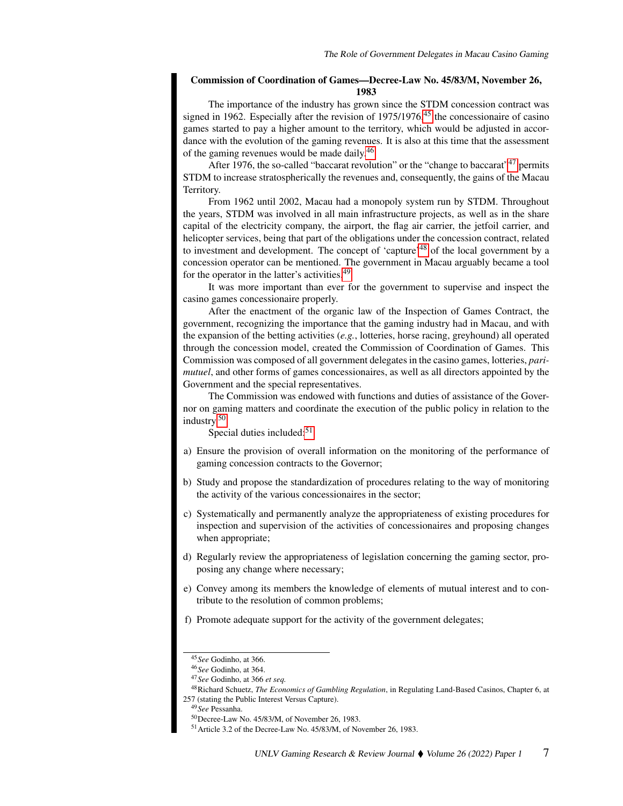#### Commission of Coordination of Games—Decree-Law No. 45/83/M, November 26, 1983

The importance of the industry has grown since the STDM concession contract was signed in 1962. Especially after the revision of  $1975/1976$ ,  $45$  the concessionaire of casino games started to pay a higher amount to the territory, which would be adjusted in accordance with the evolution of the gaming revenues. It is also at this time that the assessment of the gaming revenues would be made daily.<sup>[46](#page-6-1)</sup>

After 1976, the so-called "baccarat revolution" or the "change to baccarat"<sup>[47](#page-6-2)</sup> permits STDM to increase stratospherically the revenues and, consequently, the gains of the Macau Territory.

From 1962 until 2002, Macau had a monopoly system run by STDM. Throughout the years, STDM was involved in all main infrastructure projects, as well as in the share capital of the electricity company, the airport, the flag air carrier, the jetfoil carrier, and helicopter services, being that part of the obligations under the concession contract, related to investment and development. The concept of 'capture'[48](#page-6-3) of the local government by a concession operator can be mentioned. The government in Macau arguably became a tool for the operator in the latter's activities.<sup>[49](#page-6-4)</sup>

It was more important than ever for the government to supervise and inspect the casino games concessionaire properly.

After the enactment of the organic law of the Inspection of Games Contract, the government, recognizing the importance that the gaming industry had in Macau, and with the expansion of the betting activities (*e.g.*, lotteries, horse racing, greyhound) all operated through the concession model, created the Commission of Coordination of Games. This Commission was composed of all government delegates in the casino games, lotteries, *parimutuel*, and other forms of games concessionaires, as well as all directors appointed by the Government and the special representatives.

The Commission was endowed with functions and duties of assistance of the Governor on gaming matters and coordinate the execution of the public policy in relation to the industry.[50](#page-6-5)

Special duties included:<sup>[51](#page-6-6)</sup>

- a) Ensure the provision of overall information on the monitoring of the performance of gaming concession contracts to the Governor;
- b) Study and propose the standardization of procedures relating to the way of monitoring the activity of the various concessionaires in the sector;
- c) Systematically and permanently analyze the appropriateness of existing procedures for inspection and supervision of the activities of concessionaires and proposing changes when appropriate;
- d) Regularly review the appropriateness of legislation concerning the gaming sector, proposing any change where necessary;
- e) Convey among its members the knowledge of elements of mutual interest and to contribute to the resolution of common problems;
- f) Promote adequate support for the activity of the government delegates;

<span id="page-6-0"></span><sup>45</sup>*See* Godinho, at 366.

<span id="page-6-1"></span><sup>46</sup>*See* Godinho, at 364.

<span id="page-6-3"></span><span id="page-6-2"></span><sup>47</sup>*See* Godinho, at 366 *et seq.*

<sup>48</sup>Richard Schuetz, *The Economics of Gambling Regulation*, in Regulating Land-Based Casinos, Chapter 6, at 257 (stating the Public Interest Versus Capture).

<span id="page-6-4"></span><sup>49</sup>*See* Pessanha.

<span id="page-6-5"></span><sup>50</sup>Decree-Law No. 45/83/M, of November 26, 1983.

<span id="page-6-6"></span><sup>51</sup>Article 3.2 of the Decree-Law No. 45/83/M, of November 26, 1983.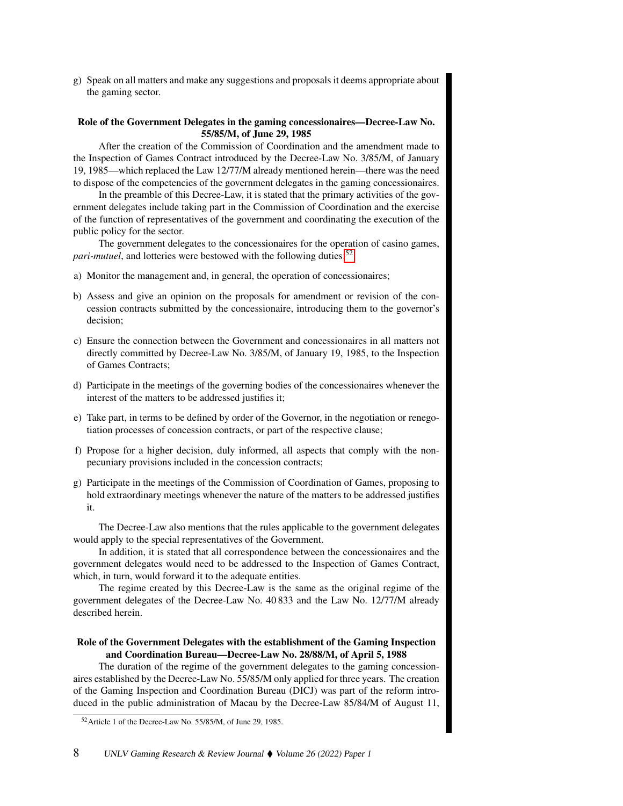g) Speak on all matters and make any suggestions and proposals it deems appropriate about the gaming sector.

#### Role of the Government Delegates in the gaming concessionaires—Decree-Law No. 55/85/M, of June 29, 1985

After the creation of the Commission of Coordination and the amendment made to the Inspection of Games Contract introduced by the Decree-Law No. 3/85/M, of January 19, 1985—which replaced the Law 12/77/M already mentioned herein—there was the need to dispose of the competencies of the government delegates in the gaming concessionaires.

In the preamble of this Decree-Law, it is stated that the primary activities of the government delegates include taking part in the Commission of Coordination and the exercise of the function of representatives of the government and coordinating the execution of the public policy for the sector.

The government delegates to the concessionaires for the operation of casino games, *pari-mutuel*, and lotteries were bestowed with the following duties:<sup>[52](#page-7-0)</sup>

- a) Monitor the management and, in general, the operation of concessionaires;
- b) Assess and give an opinion on the proposals for amendment or revision of the concession contracts submitted by the concessionaire, introducing them to the governor's decision;
- c) Ensure the connection between the Government and concessionaires in all matters not directly committed by Decree-Law No. 3/85/M, of January 19, 1985, to the Inspection of Games Contracts;
- d) Participate in the meetings of the governing bodies of the concessionaires whenever the interest of the matters to be addressed justifies it;
- e) Take part, in terms to be defined by order of the Governor, in the negotiation or renegotiation processes of concession contracts, or part of the respective clause;
- f) Propose for a higher decision, duly informed, all aspects that comply with the nonpecuniary provisions included in the concession contracts;
- g) Participate in the meetings of the Commission of Coordination of Games, proposing to hold extraordinary meetings whenever the nature of the matters to be addressed justifies it.

The Decree-Law also mentions that the rules applicable to the government delegates would apply to the special representatives of the Government.

In addition, it is stated that all correspondence between the concessionaires and the government delegates would need to be addressed to the Inspection of Games Contract, which, in turn, would forward it to the adequate entities.

The regime created by this Decree-Law is the same as the original regime of the government delegates of the Decree-Law No. 40 833 and the Law No. 12/77/M already described herein.

#### Role of the Government Delegates with the establishment of the Gaming Inspection and Coordination Bureau—Decree-Law No. 28/88/M, of April 5, 1988

The duration of the regime of the government delegates to the gaming concessionaires established by the Decree-Law No. 55/85/M only applied for three years. The creation of the Gaming Inspection and Coordination Bureau (DICJ) was part of the reform introduced in the public administration of Macau by the Decree-Law 85/84/M of August 11,

<span id="page-7-0"></span><sup>52</sup>Article 1 of the Decree-Law No. 55/85/M, of June 29, 1985.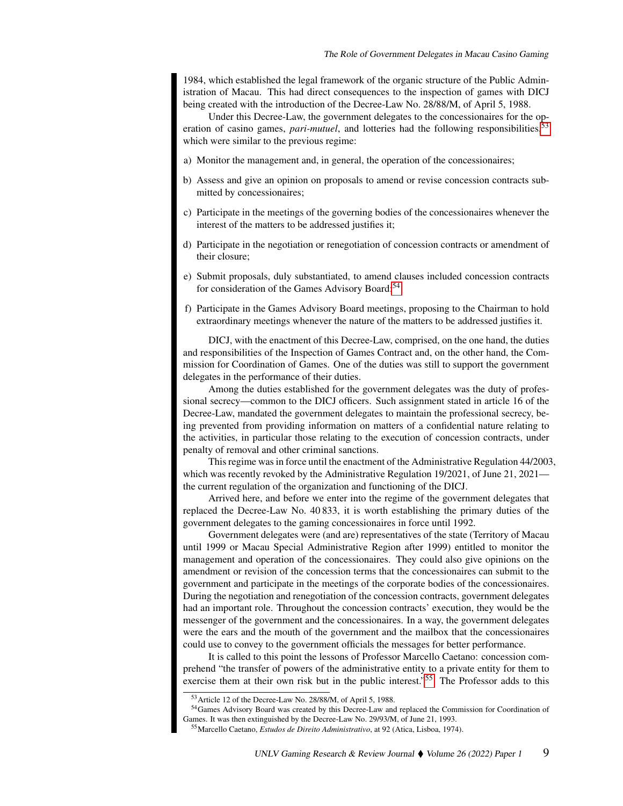1984, which established the legal framework of the organic structure of the Public Administration of Macau. This had direct consequences to the inspection of games with DICJ being created with the introduction of the Decree-Law No. 28/88/M, of April 5, 1988.

Under this Decree-Law, the government delegates to the concessionaires for the operation of casino games, *pari-mutuel*, and lotteries had the following responsibilities,<sup>[53](#page-8-0)</sup> which were similar to the previous regime:

- a) Monitor the management and, in general, the operation of the concessionaires;
- b) Assess and give an opinion on proposals to amend or revise concession contracts submitted by concessionaires;
- c) Participate in the meetings of the governing bodies of the concessionaires whenever the interest of the matters to be addressed justifies it;
- d) Participate in the negotiation or renegotiation of concession contracts or amendment of their closure;
- e) Submit proposals, duly substantiated, to amend clauses included concession contracts for consideration of the Games Advisory Board;<sup>[54](#page-8-1)</sup>
- f) Participate in the Games Advisory Board meetings, proposing to the Chairman to hold extraordinary meetings whenever the nature of the matters to be addressed justifies it.

DICJ, with the enactment of this Decree-Law, comprised, on the one hand, the duties and responsibilities of the Inspection of Games Contract and, on the other hand, the Commission for Coordination of Games. One of the duties was still to support the government delegates in the performance of their duties.

Among the duties established for the government delegates was the duty of professional secrecy—common to the DICJ officers. Such assignment stated in article 16 of the Decree-Law, mandated the government delegates to maintain the professional secrecy, being prevented from providing information on matters of a confidential nature relating to the activities, in particular those relating to the execution of concession contracts, under penalty of removal and other criminal sanctions.

This regime was in force until the enactment of the Administrative Regulation 44/2003, which was recently revoked by the Administrative Regulation 19/2021, of June 21, 2021 the current regulation of the organization and functioning of the DICJ.

Arrived here, and before we enter into the regime of the government delegates that replaced the Decree-Law No. 40 833, it is worth establishing the primary duties of the government delegates to the gaming concessionaires in force until 1992.

Government delegates were (and are) representatives of the state (Territory of Macau until 1999 or Macau Special Administrative Region after 1999) entitled to monitor the management and operation of the concessionaires. They could also give opinions on the amendment or revision of the concession terms that the concessionaires can submit to the government and participate in the meetings of the corporate bodies of the concessionaires. During the negotiation and renegotiation of the concession contracts, government delegates had an important role. Throughout the concession contracts' execution, they would be the messenger of the government and the concessionaires. In a way, the government delegates were the ears and the mouth of the government and the mailbox that the concessionaires could use to convey to the government officials the messages for better performance.

It is called to this point the lessons of Professor Marcello Caetano: concession comprehend "the transfer of powers of the administrative entity to a private entity for them to exercise them at their own risk but in the public interest."<sup>[55](#page-8-2)</sup> The Professor adds to this

<span id="page-8-1"></span><span id="page-8-0"></span><sup>53</sup>Article 12 of the Decree-Law No. 28/88/M, of April 5, 1988.

<sup>54</sup>Games Advisory Board was created by this Decree-Law and replaced the Commission for Coordination of Games. It was then extinguished by the Decree-Law No. 29/93/M, of June 21, 1993.

<span id="page-8-2"></span><sup>55</sup>Marcello Caetano, *Estudos de Direito Administrativo*, at 92 (Atica, Lisboa, 1974).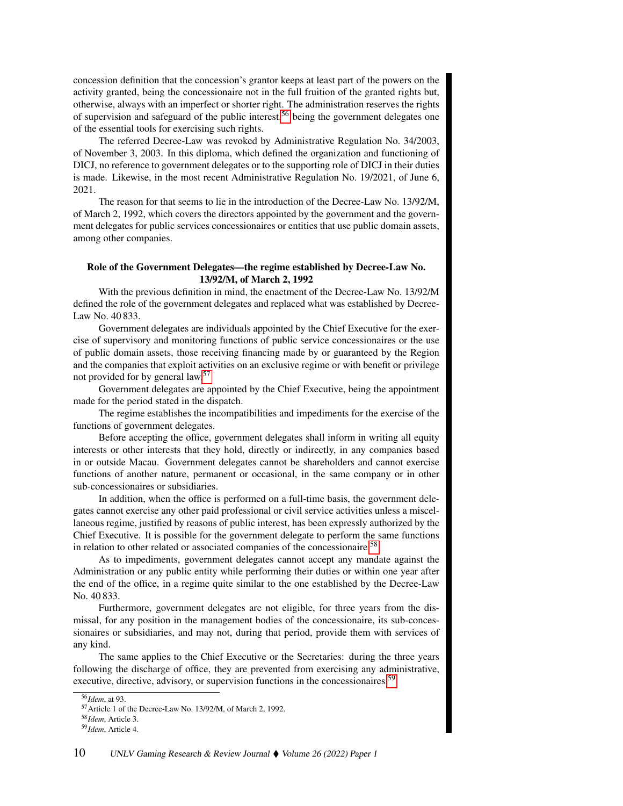concession definition that the concession's grantor keeps at least part of the powers on the activity granted, being the concessionaire not in the full fruition of the granted rights but, otherwise, always with an imperfect or shorter right. The administration reserves the rights of supervision and safeguard of the public interest,<sup>[56](#page-9-0)</sup> being the government delegates one of the essential tools for exercising such rights.

The referred Decree-Law was revoked by Administrative Regulation No. 34/2003, of November 3, 2003. In this diploma, which defined the organization and functioning of DICJ, no reference to government delegates or to the supporting role of DICJ in their duties is made. Likewise, in the most recent Administrative Regulation No. 19/2021, of June 6, 2021.

The reason for that seems to lie in the introduction of the Decree-Law No. 13/92/M, of March 2, 1992, which covers the directors appointed by the government and the government delegates for public services concessionaires or entities that use public domain assets, among other companies.

## Role of the Government Delegates—the regime established by Decree-Law No. 13/92/M, of March 2, 1992

With the previous definition in mind, the enactment of the Decree-Law No. 13/92/M defined the role of the government delegates and replaced what was established by Decree-Law No. 40 833.

Government delegates are individuals appointed by the Chief Executive for the exercise of supervisory and monitoring functions of public service concessionaires or the use of public domain assets, those receiving financing made by or guaranteed by the Region and the companies that exploit activities on an exclusive regime or with benefit or privilege not provided for by general law.[57](#page-9-1)

Government delegates are appointed by the Chief Executive, being the appointment made for the period stated in the dispatch.

The regime establishes the incompatibilities and impediments for the exercise of the functions of government delegates.

Before accepting the office, government delegates shall inform in writing all equity interests or other interests that they hold, directly or indirectly, in any companies based in or outside Macau. Government delegates cannot be shareholders and cannot exercise functions of another nature, permanent or occasional, in the same company or in other sub-concessionaires or subsidiaries.

In addition, when the office is performed on a full-time basis, the government delegates cannot exercise any other paid professional or civil service activities unless a miscellaneous regime, justified by reasons of public interest, has been expressly authorized by the Chief Executive. It is possible for the government delegate to perform the same functions in relation to other related or associated companies of the concessionaire.<sup>[58](#page-9-2)</sup>

As to impediments, government delegates cannot accept any mandate against the Administration or any public entity while performing their duties or within one year after the end of the office, in a regime quite similar to the one established by the Decree-Law No. 40 833.

Furthermore, government delegates are not eligible, for three years from the dismissal, for any position in the management bodies of the concessionaire, its sub-concessionaires or subsidiaries, and may not, during that period, provide them with services of any kind.

The same applies to the Chief Executive or the Secretaries: during the three years following the discharge of office, they are prevented from exercising any administrative, executive, directive, advisory, or supervision functions in the concessionaires.<sup>[59](#page-9-3)</sup>

<span id="page-9-0"></span><sup>56</sup>*Idem*, at 93.

<span id="page-9-1"></span><sup>57</sup>Article 1 of the Decree-Law No. 13/92/M, of March 2, 1992.

<span id="page-9-2"></span><sup>58</sup>*Idem*, Article 3.

<span id="page-9-3"></span><sup>59</sup>*Idem*, Article 4.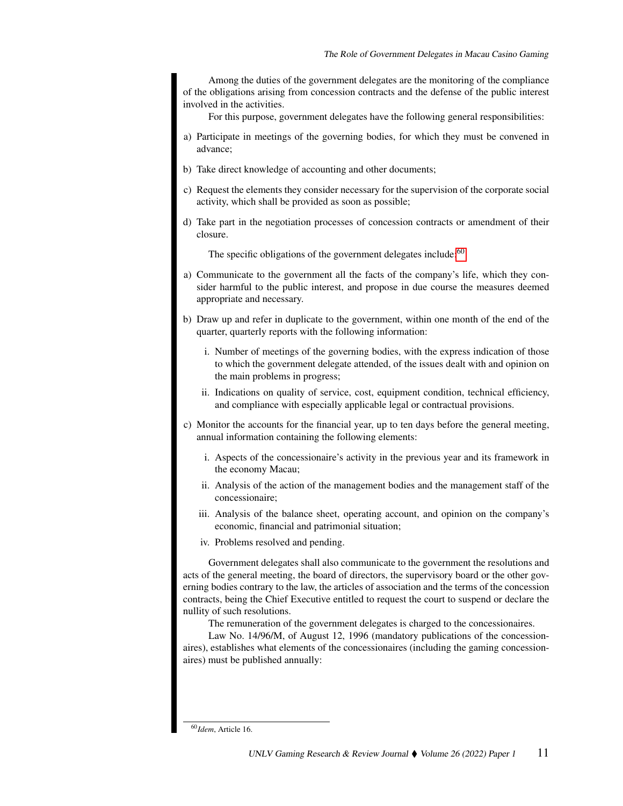Among the duties of the government delegates are the monitoring of the compliance of the obligations arising from concession contracts and the defense of the public interest involved in the activities.

For this purpose, government delegates have the following general responsibilities:

- a) Participate in meetings of the governing bodies, for which they must be convened in advance;
- b) Take direct knowledge of accounting and other documents;
- c) Request the elements they consider necessary for the supervision of the corporate social activity, which shall be provided as soon as possible;
- d) Take part in the negotiation processes of concession contracts or amendment of their closure.

The specific obligations of the government delegates include:  $60$ 

- a) Communicate to the government all the facts of the company's life, which they consider harmful to the public interest, and propose in due course the measures deemed appropriate and necessary.
- b) Draw up and refer in duplicate to the government, within one month of the end of the quarter, quarterly reports with the following information:
	- i. Number of meetings of the governing bodies, with the express indication of those to which the government delegate attended, of the issues dealt with and opinion on the main problems in progress;
	- ii. Indications on quality of service, cost, equipment condition, technical efficiency, and compliance with especially applicable legal or contractual provisions.
- c) Monitor the accounts for the financial year, up to ten days before the general meeting, annual information containing the following elements:
	- i. Aspects of the concessionaire's activity in the previous year and its framework in the economy Macau;
	- ii. Analysis of the action of the management bodies and the management staff of the concessionaire;
	- iii. Analysis of the balance sheet, operating account, and opinion on the company's economic, financial and patrimonial situation;
	- iv. Problems resolved and pending.

Government delegates shall also communicate to the government the resolutions and acts of the general meeting, the board of directors, the supervisory board or the other governing bodies contrary to the law, the articles of association and the terms of the concession contracts, being the Chief Executive entitled to request the court to suspend or declare the nullity of such resolutions.

The remuneration of the government delegates is charged to the concessionaires.

Law No. 14/96/M, of August 12, 1996 (mandatory publications of the concessionaires), establishes what elements of the concessionaires (including the gaming concessionaires) must be published annually:

<span id="page-10-0"></span><sup>60</sup>*Idem*, Article 16.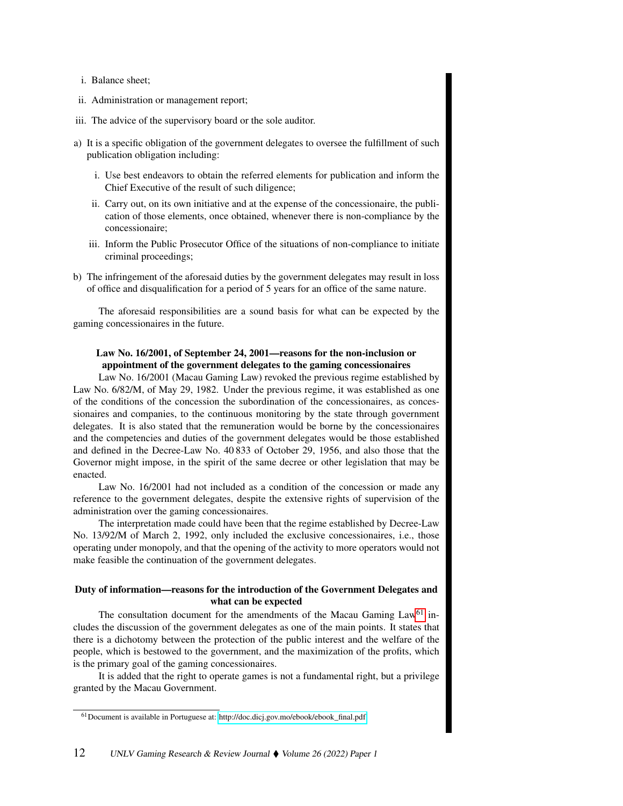- i. Balance sheet;
- ii. Administration or management report;
- iii. The advice of the supervisory board or the sole auditor.
- a) It is a specific obligation of the government delegates to oversee the fulfillment of such publication obligation including:
	- i. Use best endeavors to obtain the referred elements for publication and inform the Chief Executive of the result of such diligence;
	- ii. Carry out, on its own initiative and at the expense of the concessionaire, the publication of those elements, once obtained, whenever there is non-compliance by the concessionaire;
	- iii. Inform the Public Prosecutor Office of the situations of non-compliance to initiate criminal proceedings;
- b) The infringement of the aforesaid duties by the government delegates may result in loss of office and disqualification for a period of 5 years for an office of the same nature.

The aforesaid responsibilities are a sound basis for what can be expected by the gaming concessionaires in the future.

## Law No. 16/2001, of September 24, 2001—reasons for the non-inclusion or appointment of the government delegates to the gaming concessionaires

Law No. 16/2001 (Macau Gaming Law) revoked the previous regime established by Law No. 6/82/M, of May 29, 1982. Under the previous regime, it was established as one of the conditions of the concession the subordination of the concessionaires, as concessionaires and companies, to the continuous monitoring by the state through government delegates. It is also stated that the remuneration would be borne by the concessionaires and the competencies and duties of the government delegates would be those established and defined in the Decree-Law No. 40 833 of October 29, 1956, and also those that the Governor might impose, in the spirit of the same decree or other legislation that may be enacted.

Law No. 16/2001 had not included as a condition of the concession or made any reference to the government delegates, despite the extensive rights of supervision of the administration over the gaming concessionaires.

The interpretation made could have been that the regime established by Decree-Law No. 13/92/M of March 2, 1992, only included the exclusive concessionaires, i.e., those operating under monopoly, and that the opening of the activity to more operators would not make feasible the continuation of the government delegates.

#### Duty of information—reasons for the introduction of the Government Delegates and what can be expected

The consultation document for the amendments of the Macau Gaming Law<sup>[61](#page-11-0)</sup> includes the discussion of the government delegates as one of the main points. It states that there is a dichotomy between the protection of the public interest and the welfare of the people, which is bestowed to the government, and the maximization of the profits, which is the primary goal of the gaming concessionaires.

It is added that the right to operate games is not a fundamental right, but a privilege granted by the Macau Government.

<span id="page-11-0"></span><sup>61</sup>Document is available in Portuguese at: [http://doc.dicj.gov.mo/ebook/ebook\\_final.pdf.](http://doc.dicj.gov.mo/ebook/ebook_final.pdf)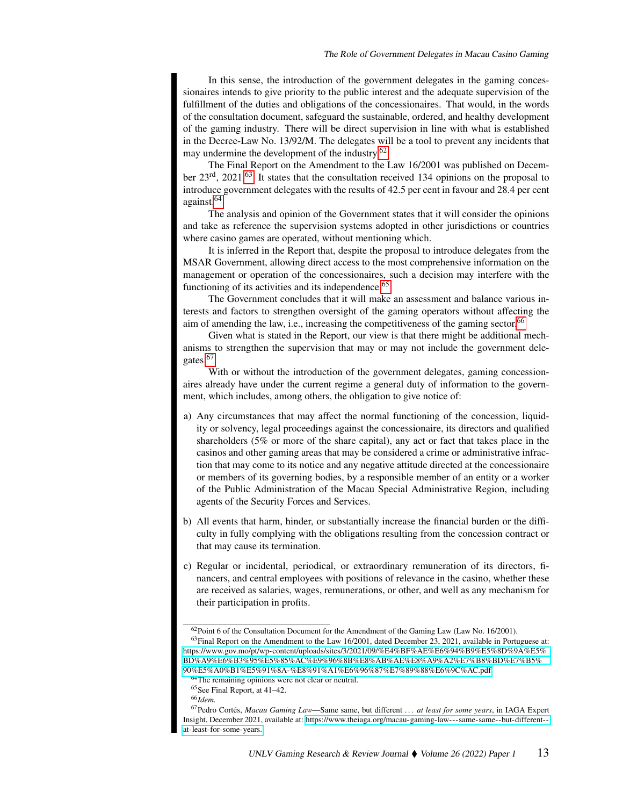In this sense, the introduction of the government delegates in the gaming concessionaires intends to give priority to the public interest and the adequate supervision of the fulfillment of the duties and obligations of the concessionaires. That would, in the words of the consultation document, safeguard the sustainable, ordered, and healthy development of the gaming industry. There will be direct supervision in line with what is established in the Decree-Law No. 13/92/M. The delegates will be a tool to prevent any incidents that may undermine the development of the industry.<sup>[62](#page-12-0)</sup>

The Final Report on the Amendment to the Law 16/2001 was published on Decem-ber 23<sup>rd</sup>, 2021.<sup>[63](#page-12-1)</sup> It states that the consultation received 134 opinions on the proposal to introduce government delegates with the results of 42.5 per cent in favour and 28.4 per cent against.[64](#page-12-2)

The analysis and opinion of the Government states that it will consider the opinions and take as reference the supervision systems adopted in other jurisdictions or countries where casino games are operated, without mentioning which.

It is inferred in the Report that, despite the proposal to introduce delegates from the MSAR Government, allowing direct access to the most comprehensive information on the management or operation of the concessionaires, such a decision may interfere with the functioning of its activities and its independence.<sup>[65](#page-12-3)</sup>

The Government concludes that it will make an assessment and balance various interests and factors to strengthen oversight of the gaming operators without affecting the aim of amending the law, i.e., increasing the competitiveness of the gaming sector.<sup>[66](#page-12-4)</sup>

Given what is stated in the Report, our view is that there might be additional mechanisms to strengthen the supervision that may or may not include the government dele-gates.<sup>[67](#page-12-5)</sup>

With or without the introduction of the government delegates, gaming concessionaires already have under the current regime a general duty of information to the government, which includes, among others, the obligation to give notice of:

- a) Any circumstances that may affect the normal functioning of the concession, liquidity or solvency, legal proceedings against the concessionaire, its directors and qualified shareholders (5% or more of the share capital), any act or fact that takes place in the casinos and other gaming areas that may be considered a crime or administrative infraction that may come to its notice and any negative attitude directed at the concessionaire or members of its governing bodies, by a responsible member of an entity or a worker of the Public Administration of the Macau Special Administrative Region, including agents of the Security Forces and Services.
- b) All events that harm, hinder, or substantially increase the financial burden or the difficulty in fully complying with the obligations resulting from the concession contract or that may cause its termination.
- c) Regular or incidental, periodical, or extraordinary remuneration of its directors, financers, and central employees with positions of relevance in the casino, whether these are received as salaries, wages, remunerations, or other, and well as any mechanism for their participation in profits.

<span id="page-12-1"></span><span id="page-12-0"></span><sup>&</sup>lt;sup>62</sup>Point 6 of the Consultation Document for the Amendment of the Gaming Law (Law No. 16/2001). <sup>63</sup>Final Report on the Amendment to the Law 16/2001, dated December 23, 2021, available in Portuguese at: [https://www.gov.mo/pt/wp-content/uploads/sites/3/2021/09/%E4%BF%AE%E6%94%B9%E5%8D%9A%E5%](https://www.gov.mo/pt/wp-content/uploads/sites/3/2021/09/%E4%BF%AE%E6%94%B9%E5%8D%9A%E5%BD%A9%E6%B3%95%E5%85%AC%E9%96%8B%E8%AB%AE%E8%A9%A2%E7%B8%BD%E7%B5%90%E5%A0%B1%E5%91%8A-%E8%91%A1%E6%96%87%E7%89%88%E6%9C%AC.pdf) [BD%A9%E6%B3%95%E5%85%AC%E9%96%8B%E8%AB%AE%E8%A9%A2%E7%B8%BD%E7%B5%](https://www.gov.mo/pt/wp-content/uploads/sites/3/2021/09/%E4%BF%AE%E6%94%B9%E5%8D%9A%E5%BD%A9%E6%B3%95%E5%85%AC%E9%96%8B%E8%AB%AE%E8%A9%A2%E7%B8%BD%E7%B5%90%E5%A0%B1%E5%91%8A-%E8%91%A1%E6%96%87%E7%89%88%E6%9C%AC.pdf) [90%E5%A0%B1%E5%91%8A-%E8%91%A1%E6%96%87%E7%89%88%E6%9C%AC.pdf.](https://www.gov.mo/pt/wp-content/uploads/sites/3/2021/09/%E4%BF%AE%E6%94%B9%E5%8D%9A%E5%BD%A9%E6%B3%95%E5%85%AC%E9%96%8B%E8%AB%AE%E8%A9%A2%E7%B8%BD%E7%B5%90%E5%A0%B1%E5%91%8A-%E8%91%A1%E6%96%87%E7%89%88%E6%9C%AC.pdf)

<span id="page-12-2"></span><sup>&</sup>lt;sup>64</sup>The remaining opinions were not clear or neutral.

<span id="page-12-3"></span><sup>65</sup>See Final Report, at 41–42.

<span id="page-12-5"></span><span id="page-12-4"></span><sup>66</sup>*Idem.*

<sup>67</sup>Pedro Cortés, *Macau Gaming Law*—Same same, but different . . . *at least for some years*, in IAGA Expert Insight, December 2021, available at: [https://www.theiaga.org/macau-gaming-law---same-same--but-different-](https://www.theiaga.org/macau-gaming-law---same-same--but-different--at-least-for-some-years.) [at-least-for-some-years.](https://www.theiaga.org/macau-gaming-law---same-same--but-different--at-least-for-some-years.)